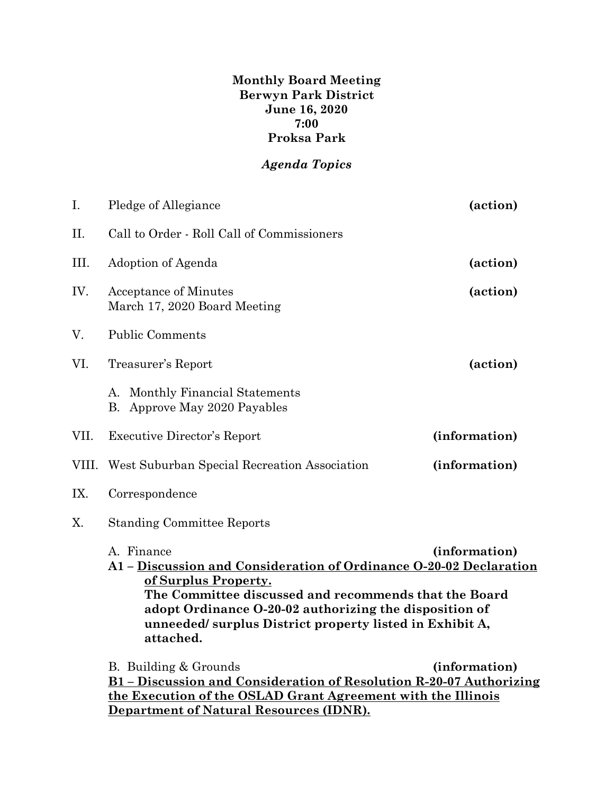**Monthly Board Meeting Berwyn Park District June 16, 2020 7:00 Proksa Park**

## *Agenda Topics*

| I.    | Pledge of Allegiance                                                                                                                                                                                                                                                                                                 | (action)      |  |
|-------|----------------------------------------------------------------------------------------------------------------------------------------------------------------------------------------------------------------------------------------------------------------------------------------------------------------------|---------------|--|
| Π.    | Call to Order - Roll Call of Commissioners                                                                                                                                                                                                                                                                           |               |  |
| III.  | Adoption of Agenda                                                                                                                                                                                                                                                                                                   | (action)      |  |
| IV.   | <b>Acceptance of Minutes</b><br>March 17, 2020 Board Meeting                                                                                                                                                                                                                                                         | (action)      |  |
| V.    | <b>Public Comments</b>                                                                                                                                                                                                                                                                                               |               |  |
| VI.   | Treasurer's Report                                                                                                                                                                                                                                                                                                   | (action)      |  |
|       | A. Monthly Financial Statements<br>B. Approve May 2020 Payables                                                                                                                                                                                                                                                      |               |  |
| VII.  | <b>Executive Director's Report</b>                                                                                                                                                                                                                                                                                   | (information) |  |
| VIII. | West Suburban Special Recreation Association                                                                                                                                                                                                                                                                         | (information) |  |
| IX.   | Correspondence                                                                                                                                                                                                                                                                                                       |               |  |
| Χ.    | <b>Standing Committee Reports</b>                                                                                                                                                                                                                                                                                    |               |  |
|       | A. Finance<br>(information)<br>A1 - Discussion and Consideration of Ordinance O-20-02 Declaration<br>of Surplus Property.<br>The Committee discussed and recommends that the Board<br>adopt Ordinance O-20-02 authorizing the disposition of<br>unneeded/surplus District property listed in Exhibit A,<br>attached. |               |  |
|       | B. Building & Grounds<br>B1 - Discussion and Consideration of Resolution R-20-07 Authorizing<br>the Execution of the OSLAD Grant Agreement with the Illinois<br><b>Department of Natural Resources (IDNR).</b>                                                                                                       | (information) |  |